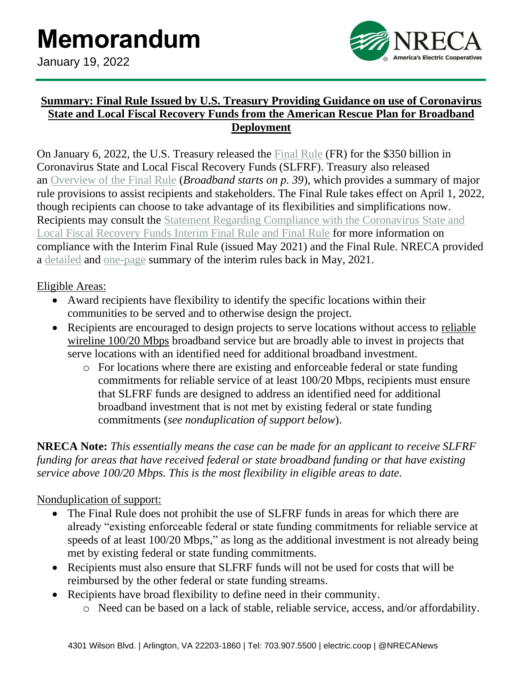

## **Summary: Final Rule Issued by U.S. Treasury Providing Guidance on use of Coronavirus State and Local Fiscal Recovery Funds from the American Rescue Plan for Broadband Deployment**

On January 6, 2022, the U.S. Treasury released the [Final Rule](https://home.treasury.gov/system/files/136/SLFRF-Final-Rule.pdf) (FR) for the \$350 billion in Coronavirus State and Local Fiscal Recovery Funds (SLFRF). Treasury also released an [Overview of the Final Rule](https://home.treasury.gov/system/files/136/SLFRF-Final-Rule-Overview.pdf) (*Broadband starts on p. 39*), which provides a summary of major rule provisions to assist recipients and stakeholders. The Final Rule takes effect on April 1, 2022, though recipients can choose to take advantage of its flexibilities and simplifications now. Recipients may consult the [Statement Regarding Compliance with the Coronavirus State and](https://home.treasury.gov/system/files/136/SLFRF-Compliance-Statement.pdf)  [Local Fiscal Recovery Funds Interim Final Rule and Final Rule](https://home.treasury.gov/system/files/136/SLFRF-Compliance-Statement.pdf) for more information on compliance with the Interim Final Rule (issued May 2021) and the Final Rule. NRECA provided a [detailed](https://www.cooperative.com/programs-services/government-relations/regulatory-issues/pages/nreca-detailed-summary-of-the-interim-final-rule-(ifr)-issued-by-u-s--treasury-guidance-on-use-of-coronavirus-state-and-loc.aspx) and [one-page](https://www.cooperative.com/programs-services/government-relations/regulatory-issues/pages/nreca-one-pager-outlining-key-points-in-interim-final-rule-(ifr)-issued-by-u-s--treasury-guidance-on-use-of-$350-billion-in.aspx) summary of the interim rules back in May, 2021.

Eligible Areas:

- Award recipients have flexibility to identify the specific locations within their communities to be served and to otherwise design the project.
- Recipients are encouraged to design projects to serve locations without access to reliable wireline 100/20 Mbps broadband service but are broadly able to invest in projects that serve locations with an identified need for additional broadband investment.
	- o For locations where there are existing and enforceable federal or state funding commitments for reliable service of at least 100/20 Mbps, recipients must ensure that SLFRF funds are designed to address an identified need for additional broadband investment that is not met by existing federal or state funding commitments (*see nonduplication of support below*).

**NRECA Note:** *This essentially means the case can be made for an applicant to receive SLFRF funding for areas that have received federal or state broadband funding or that have existing service above 100/20 Mbps. This is the most flexibility in eligible areas to date.*

# Nonduplication of support:

- The Final Rule does not prohibit the use of SLFRF funds in areas for which there are already "existing enforceable federal or state funding commitments for reliable service at speeds of at least 100/20 Mbps," as long as the additional investment is not already being met by existing federal or state funding commitments.
- Recipients must also ensure that SLFRF funds will not be used for costs that will be reimbursed by the other federal or state funding streams.
- Recipients have broad flexibility to define need in their community.
	- o Need can be based on a lack of stable, reliable service, access, and/or affordability.